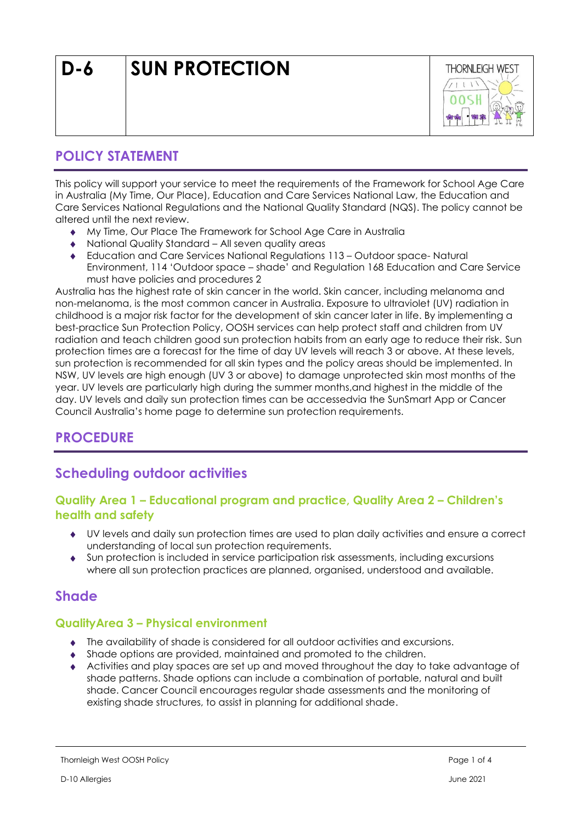

## **POLICY STATEMENT**

This policy will support your service to meet the requirements of the Framework for School Age Care in Australia (My Time, Our Place), Education and Care Services National Law, the Education and Care Services National Regulations and the National Quality Standard (NQS). The policy cannot be altered until the next review.

- My Time, Our Place The Framework for School Age Care in Australia
- ◆ National Quality Standard All seven quality areas
- Education and Care Services National Regulations 113 Outdoor space- Natural Environment, 114 'Outdoor space – shade' and Regulation 168 Education and Care Service must have policies and procedures 2

Australia has the highest rate of skin cancer in the world. Skin cancer, including melanoma and non-melanoma, is the most common cancer in Australia. Exposure to ultraviolet (UV) radiation in childhood is a major risk factor for the development of skin cancer later in life. By implementing a best-practice Sun Protection Policy, OOSH services can help protect staff and children from UV radiation and teach children good sun protection habits from an early age to reduce their risk. Sun protection times are a forecast for the time of day UV levels will reach 3 or above. At these levels, sun protection is recommended for all skin types and the policy areas should be implemented. In NSW, UV levels are high enough (UV 3 or above) to damage unprotected skin most months of the year. UV levels are particularly high during the summer months,and highest in the middle of the day. UV levels and daily sun protection times can be accessedvia the SunSmart App or Cancer Council Australia's home page to determine sun protection requirements.

## **PROCEDURE**

## **Scheduling outdoor activities**

#### **Quality Area 1 – Educational program and practice, Quality Area 2 – Children's health and safety**

- UV levels and daily sun protection times are used to plan daily activities and ensure a correct understanding of local sun protection requirements.
- Sun protection is included in service participation risk assessments, including excursions where all sun protection practices are planned, organised, understood and available.

## **Shade**

#### **QualityArea 3 – Physical environment**

- The availability of shade is considered for all outdoor activities and excursions.
- Shade options are provided, maintained and promoted to the children.
- Activities and play spaces are set up and moved throughout the day to take advantage of shade patterns. Shade options can include a combination of portable, natural and built shade. Cancer Council encourages regular shade assessments and the monitoring of existing shade structures, to assist in planning for additional shade.

D-10 Allergies June 2021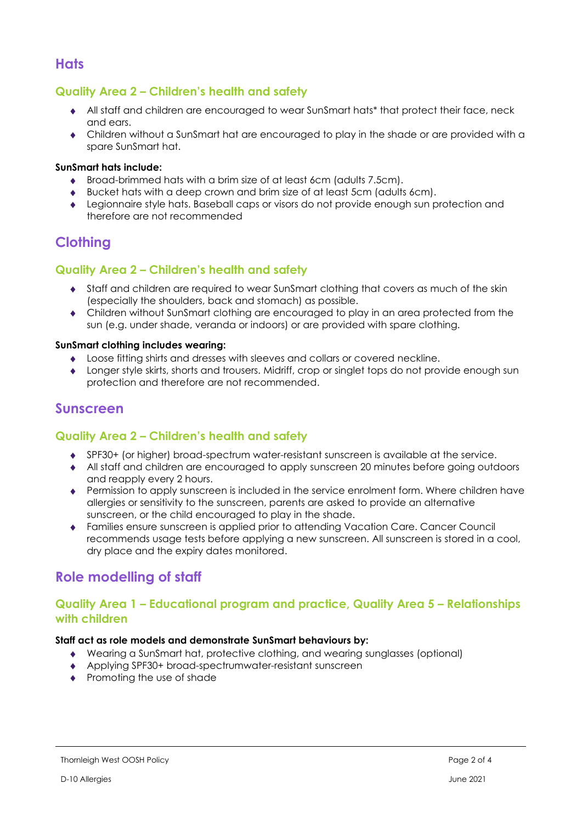### **Hats**

### **Quality Area 2 – Children's health and safety**

- All staff and children are encouraged to wear SunSmart hats\* that protect their face, neck and ears.
- Children without a SunSmart hat are encouraged to play in the shade or are provided with a spare SunSmart hat.

#### **SunSmart hats include:**

- Broad-brimmed hats with a brim size of at least 6cm (adults 7.5cm).
- Bucket hats with a deep crown and brim size of at least 5cm (adults 6cm).
- Legionnaire style hats. Baseball caps or visors do not provide enough sun protection and therefore are not recommended

## **Clothing**

#### **Quality Area 2 – Children's health and safety**

- Staff and children are required to wear SunSmart clothing that covers as much of the skin (especially the shoulders, back and stomach) as possible.
- Children without SunSmart clothing are encouraged to play in an area protected from the sun (e.g. under shade, veranda or indoors) or are provided with spare clothing.

#### **SunSmart clothing includes wearing:**

- Loose fitting shirts and dresses with sleeves and collars or covered neckline.
- Longer style skirts, shorts and trousers. Midriff, crop or singlet tops do not provide enough sun protection and therefore are not recommended.

### **Sunscreen**

#### **Quality Area 2 – Children's health and safety**

- SPF30+ (or higher) broad-spectrum water-resistant sunscreen is available at the service.
- All staff and children are encouraged to apply sunscreen 20 minutes before going outdoors and reapply every 2 hours.
- Permission to apply sunscreen is included in the service enrolment form. Where children have allergies or sensitivity to the sunscreen, parents are asked to provide an alternative sunscreen, or the child encouraged to play in the shade.
- Families ensure sunscreen is applied prior to attending Vacation Care. Cancer Council recommends usage tests before applying a new sunscreen. All sunscreen is stored in a cool, dry place and the expiry dates monitored.

## **Role modelling of staff**

#### **Quality Area 1 – Educational program and practice, Quality Area 5 – Relationships with children**

#### **Staff act as role models and demonstrate SunSmart behaviours by:**

- Wearing a SunSmart hat, protective clothing, and wearing sunglasses (optional)
- Applying SPF30+ broad-spectrumwater-resistant sunscreen
- Promoting the use of shade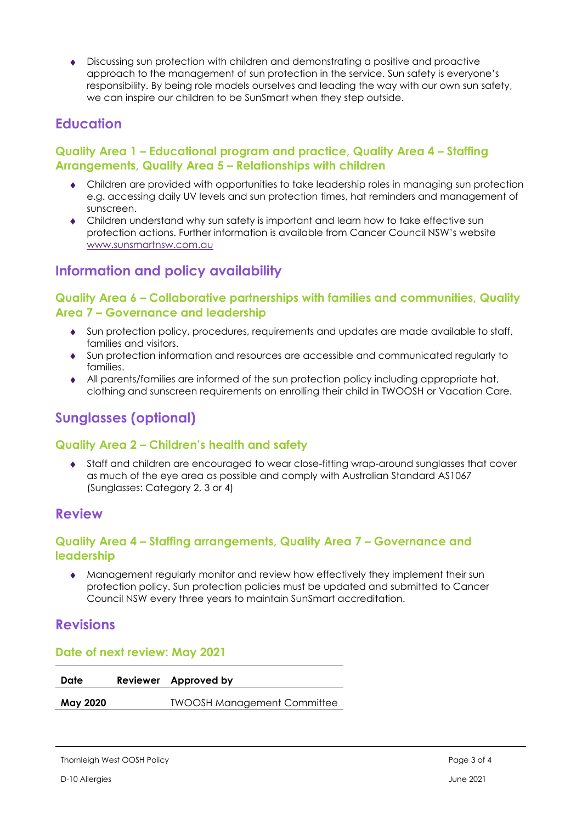Discussing sun protection with children and demonstrating a positive and proactive approach to the management of sun protection in the service. Sun safety is everyone's responsibility. By being role models ourselves and leading the way with our own sun safety, we can inspire our children to be SunSmart when they step outside.

# **Education**

### **Quality Area 1 – Educational program and practice, Quality Area 4 – Staffing Arrangements, Quality Area 5 – Relationships with children**

- Children are provided with opportunities to take leadership roles in managing sun protection e.g. accessing daily UV levels and sun protection times, hat reminders and management of sunscreen.
- Children understand why sun safety is important and learn how to take effective sun protection actions. Further information is available from Cancer Council NSW's website [www.sunsmartnsw.com.au](http://www.sunsmartnsw.com.au/)

# **Information and policy availability**

#### **Quality Area 6 – Collaborative partnerships with families and communities, Quality Area 7 – Governance and leadership**

- Sun protection policy, procedures, requirements and updates are made available to staff, families and visitors.
- Sun protection information and resources are accessible and communicated regularly to families.
- All parents/families are informed of the sun protection policy including appropriate hat, clothing and sunscreen requirements on enrolling their child in TWOOSH or Vacation Care.

# **Sunglasses (optional)**

#### **Quality Area 2 – Children's health and safety**

 Staff and children are encouraged to wear close-fitting wrap-around sunglasses that cover as much of the eye area as possible and comply with Australian Standard AS1067 (Sunglasses: Category 2, 3 or 4)

### **Review**

#### **Quality Area 4 – Staffing arrangements, Quality Area 7 – Governance and leadership**

 Management regularly monitor and review how effectively they implement their sun protection policy. Sun protection policies must be updated and submitted to Cancer Council NSW every three years to maintain SunSmart accreditation.

## **Revisions**

#### **Date of next review: May 2021**

| Date     | Reviewer Approved by               |
|----------|------------------------------------|
| May 2020 | <b>TWOOSH Management Committee</b> |